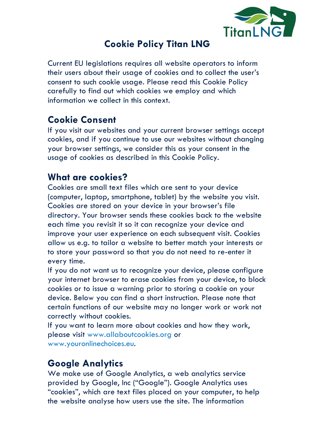

## **Cookie Policy Titan LNG**

Current EU legislations requires all website operators to inform their users about their usage of cookies and to collect the user's consent to such cookie usage. Please read this Cookie Policy carefully to find out which cookies we employ and which information we collect in this context.

# **Cookie Consent**

If you visit our websites and your current browser settings accept cookies, and if you continue to use our websites without changing your browser settings, we consider this as your consent in the usage of cookies as described in this Cookie Policy.

### **What are cookies?**

Cookies are small text files which are sent to your device (computer, laptop, smartphone, tablet) by the website you visit. Cookies are stored on your device in your browser's file directory. Your browser sends these cookies back to the website each time you revisit it so it can recognize your device and improve your user experience on each subsequent visit. Cookies allow us e.g. to tailor a website to better match your interests or to store your password so that you do not need to re-enter it every time.

If you do not want us to recognize your device, please configure your internet browser to erase cookies from your device, to block cookies or to issue a warning prior to storing a cookie on your device. Below you can find a short instruction. Please note that certain functions of our website may no longer work or work not correctly without cookies.

If you want to learn more about cookies and how they work, please visit www.allaboutcookies.org or www.youronlinechoices.eu.

#### **Google Analytics**

We make use of Google Analytics, a web analytics service provided by Google, Inc ("Google"). Google Analytics uses "cookies", which are text files placed on your computer, to help the website analyse how users use the site. The information